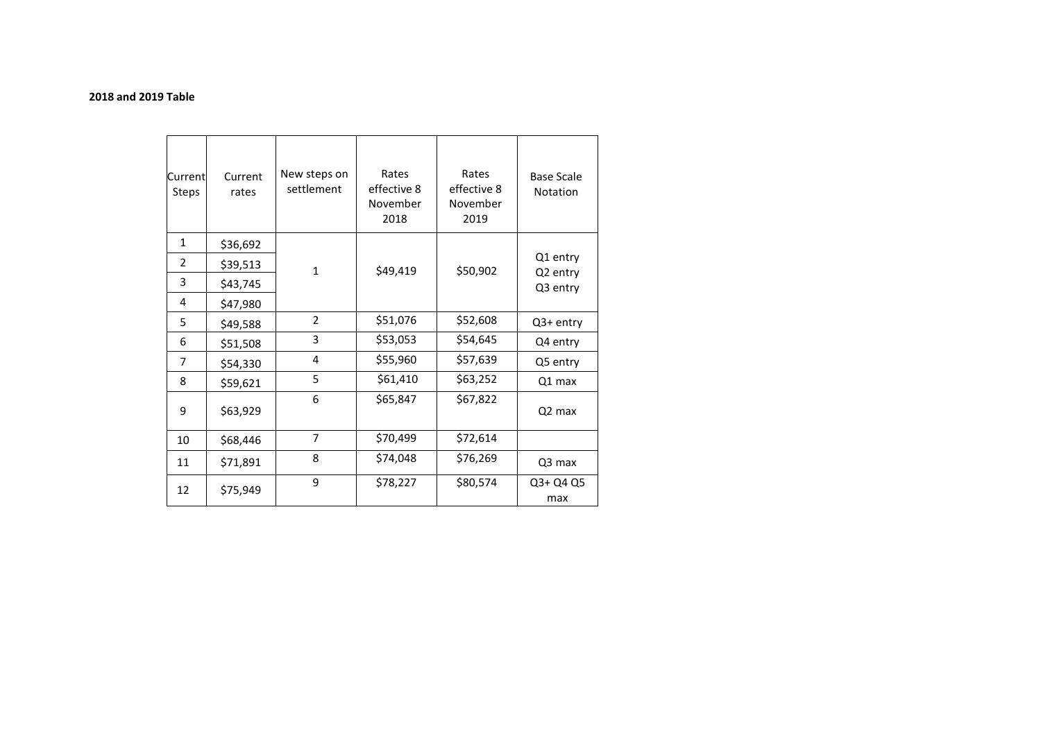#### **2018 and 2019 Table**

| Current<br><b>Steps</b> | Current<br>rates | New steps on<br>settlement | Rates<br>effective 8<br>November<br>2018 | Rates<br>effective 8<br>November<br>2019 | <b>Base Scale</b><br>Notation |
|-------------------------|------------------|----------------------------|------------------------------------------|------------------------------------------|-------------------------------|
| $\mathbf{1}$            | \$36,692         |                            | \$49,419                                 | \$50,902                                 |                               |
| 2                       | \$39,513         | $\mathbf{1}$               |                                          |                                          | Q1 entry<br>Q2 entry          |
| 3                       | \$43,745         |                            |                                          |                                          | Q3 entry                      |
| 4                       | \$47,980         |                            |                                          |                                          |                               |
| 5                       | \$49,588         | $\overline{2}$             | \$51,076                                 | \$52,608                                 | Q3+ entry                     |
| 6                       | \$51,508         | 3                          | \$53,053                                 | \$54,645                                 | Q4 entry                      |
| 7                       | \$54,330         | 4                          | \$55,960                                 | \$57,639                                 | Q5 entry                      |
| 8                       | \$59,621         | 5                          | \$61,410                                 | \$63,252                                 | Q1 max                        |
| 9                       | \$63,929         | 6                          | \$65,847                                 | \$67,822                                 | Q <sub>2</sub> max            |
| 10                      | \$68,446         | $\overline{7}$             | \$70,499                                 | \$72,614                                 |                               |
| 11                      | \$71,891         | 8                          | \$74,048                                 | \$76,269                                 | Q3 max                        |
| 12                      | \$75,949         | 9                          | \$78,227                                 | \$80,574                                 | Q3+ Q4 Q5<br>max              |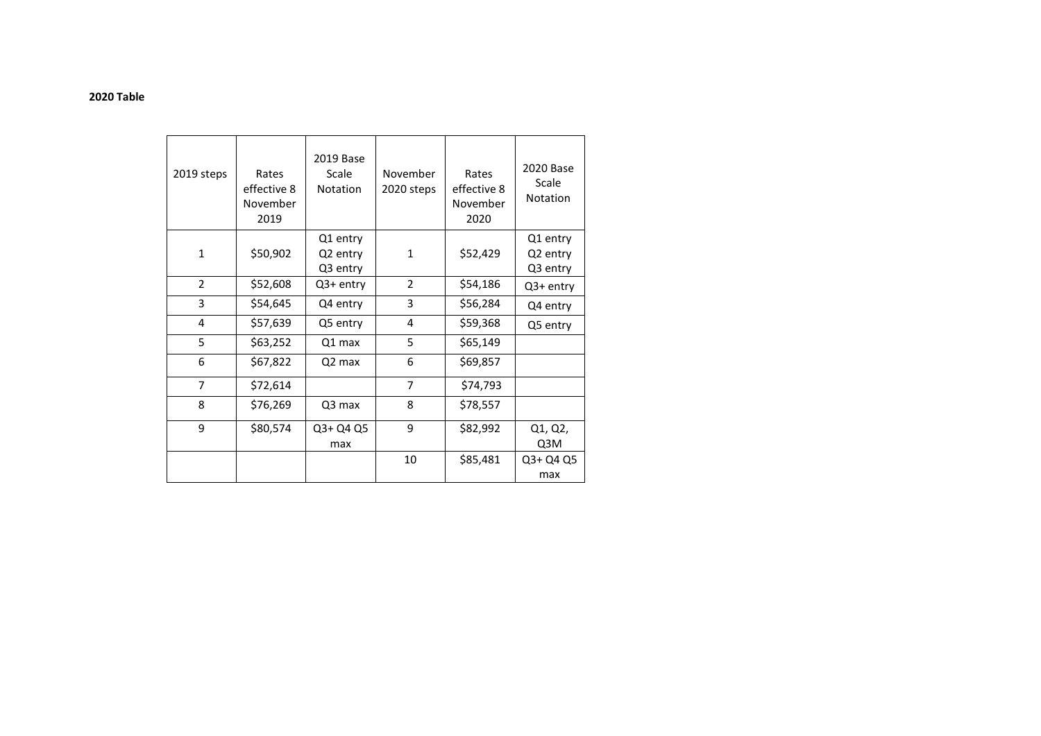#### **2020 Table**

| 2019 steps     | Rates<br>effective 8<br>November<br>2019 | 2019 Base<br>Scale<br>Notation   | November<br>2020 steps | Rates<br>effective 8<br>November<br>2020 | 2020 Base<br>Scale<br>Notation   |
|----------------|------------------------------------------|----------------------------------|------------------------|------------------------------------------|----------------------------------|
| $\mathbf{1}$   | \$50,902                                 | Q1 entry<br>Q2 entry<br>Q3 entry | 1                      | \$52,429                                 | Q1 entry<br>Q2 entry<br>Q3 entry |
| $\overline{2}$ | \$52,608                                 | Q3+ entry                        | $\overline{2}$         | \$54,186                                 | Q3+ entry                        |
| 3              | \$54,645                                 | Q4 entry                         | 3                      | \$56,284                                 | Q4 entry                         |
| 4              | \$57,639                                 | Q5 entry                         | 4                      | \$59,368                                 | Q5 entry                         |
| 5              | \$63,252                                 | Q1 max                           | 5                      | \$65,149                                 |                                  |
| 6              | \$67,822                                 | Q2 max                           | 6                      | \$69,857                                 |                                  |
| $\overline{7}$ | \$72,614                                 |                                  | 7                      | \$74,793                                 |                                  |
| 8              | \$76,269                                 | Q3 max                           | 8                      | \$78,557                                 |                                  |
| 9              | \$80,574                                 | Q3+ Q4 Q5<br>max                 | 9                      | \$82,992                                 | Q1, Q2,<br>Q3M                   |
|                |                                          |                                  | 10                     | \$85,481                                 | Q3+ Q4 Q5<br>max                 |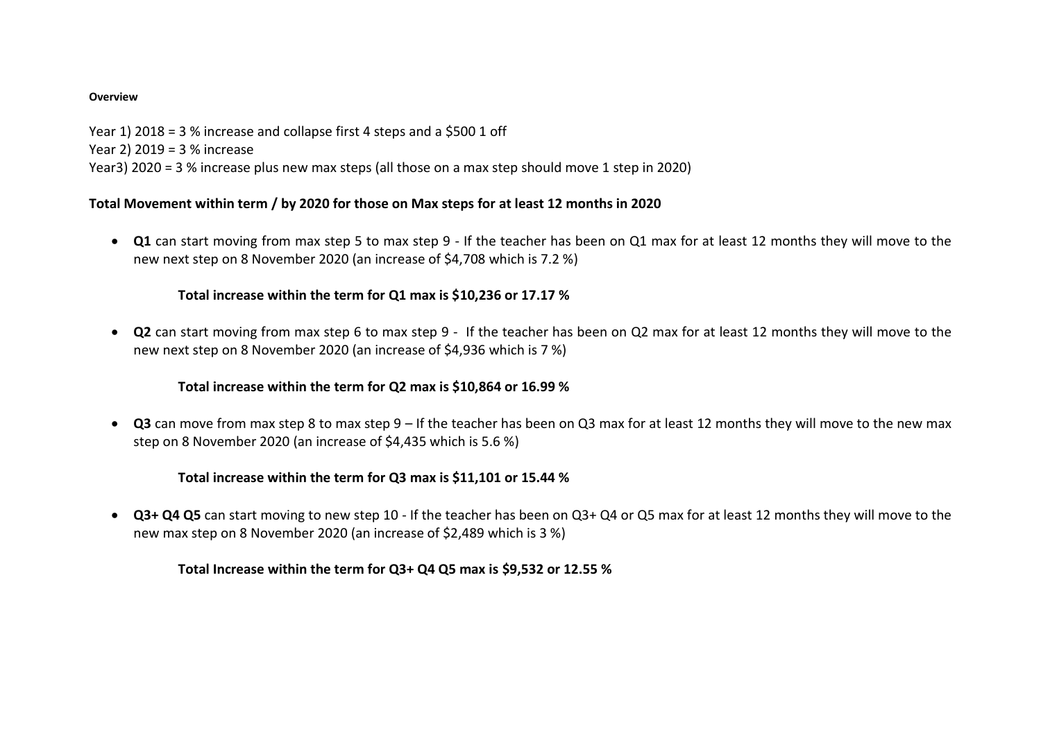#### **Overview**

Year 1) 2018 = 3 % increase and collapse first 4 steps and a \$500 1 off Year 2) 2019 = 3 % increase Year3) 2020 = 3 % increase plus new max steps (all those on a max step should move 1 step in 2020)

### **Total Movement within term / by 2020 for those on Max steps for at least 12 months in 2020**

 **Q1** can start moving from max step 5 to max step 9 - If the teacher has been on Q1 max for at least 12 months they will move to the new next step on 8 November 2020 (an increase of \$4,708 which is 7.2 %)

### **Total increase within the term for Q1 max is \$10,236 or 17.17 %**

 **Q2** can start moving from max step 6 to max step 9 - If the teacher has been on Q2 max for at least 12 months they will move to the new next step on 8 November 2020 (an increase of \$4,936 which is 7 %)

# **Total increase within the term for Q2 max is \$10,864 or 16.99 %**

 **Q3** can move from max step 8 to max step 9 – If the teacher has been on Q3 max for at least 12 months they will move to the new max step on 8 November 2020 (an increase of \$4,435 which is 5.6 %)

# **Total increase within the term for Q3 max is \$11,101 or 15.44 %**

 **Q3+ Q4 Q5** can start moving to new step 10 - If the teacher has been on Q3+ Q4 or Q5 max for at least 12 months they will move to the new max step on 8 November 2020 (an increase of \$2,489 which is 3 %)

### **Total Increase within the term for Q3+ Q4 Q5 max is \$9,532 or 12.55 %**